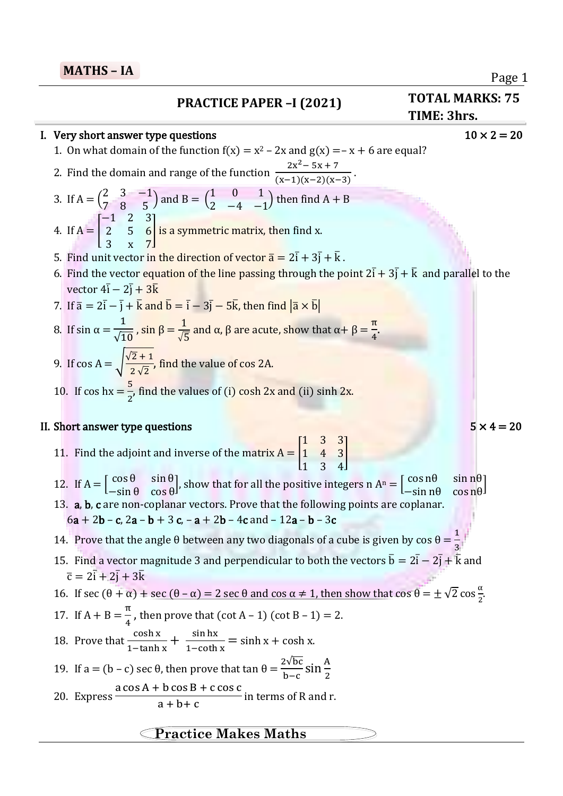# **PRACTICE PAPER –I (2021) TOTAL MARKS: 75**

### I. Very short answer type questions  $10 \times 2 = 20$

- 1. On what domain of the function  $f(x) = x^2 2x$  and  $g(x) = -x + 6$  are equal?
- 2. Find the domain and range of the function  $2x^2 - 5x + 7$  $\frac{2x-8x+7}{(x-1)(x-2)(x-3)}$
- 3. If  $A = \begin{pmatrix} 2 & 3 & -1 \\ 7 & 8 & 5 \end{pmatrix}$  $\begin{pmatrix} 2 & 3 & -1 \\ 7 & 8 & 5 \end{pmatrix}$  and B =  $\begin{pmatrix} 1 & 0 & 1 \\ 2 & -4 & -1 \end{pmatrix}$  $\begin{pmatrix} 1 & 0 & 1 \\ 2 & -4 & -1 \end{pmatrix}$  then find A + B −1 2 3
- 4. If  $A = \vert$ 2 5 6 3 x 7 **Solutary** is a symmetric matrix, then find x.
- 5. Find unit vector in the direction of vector  $\bar{a} = 2\bar{i} + 3\bar{j} + \bar{k}$ .
- 6. Find the vector equation of the line passing through the point  $2\bar{i} + 3\bar{j} + \bar{k}$  and parallel to the vector 4ī − 2j̄ <mark>+ 3k</mark>
- 7. If  $\bar{a} = 2\bar{i} \bar{j} + \bar{k}$  and  $\bar{b} = \bar{i} 3\bar{j} 5\bar{k}$ , then find  $|\bar{a} \times \bar{b}|$
- 8. If sin  $\alpha =$ 1  $\sqrt{10}$ , sin β =  $\frac{1}{\sqrt{5}}$  and α, β are acute, show that α+ β =  $\frac{\pi}{4}$ .
- 9. If  $\cos A = \sqrt{\frac{\sqrt{2}+1}{2\sqrt{2}}}$  $\frac{2+1}{2\sqrt{2}}$ , find the value of cos 2A.
- 10. If  $\cosh x = \frac{5}{2}$ , find the values of (i)  $\cosh 2x$  and (ii)  $\sinh 2x$ .

### II. Short answer type questions  $5 \times 4 = 20$

- 11. Find the adjoint and inverse of the matrix  $A = |$ 1 3 3 1 4 3 1 3 4  $\overline{\phantom{a}}$
- 12. If  $A = \begin{bmatrix} \cos \theta & \sin \theta \\ \sin \theta & \cos \theta \end{bmatrix}$  $\begin{array}{cc} \cos \theta & \sin \theta \\ -\sin \theta & \cos \theta \end{array}$ , show that for all the positive integers n A<sup>n</sup> =  $\begin{bmatrix} \cos n\theta & \sin n\theta \\ -\sin n\theta & \cos n\theta \end{bmatrix}$  $-\sin n\theta$   $\cos n\theta$ 13. a, b, c are non-coplanar vectors. Prove that the following points are coplanar.

$$
6a + 2b - c
$$
,  $2a - b + 3c$ ,  $-a + 2b - 4c$  and  $-12a - b - 3c$ 

- 14. Prove that the angle θ between any two diagonals of a cube is given by cos θ =  $\frac{1}{2}$ 3
- 15. Find a vector magnitude 3 and perpendicular to both the vectors  $\bar{b} = 2\bar{i} 2\bar{j} + \bar{k}$  and  $\overline{\mathbf{c}} = 2\overline{\mathbf{i}} + 2\overline{\mathbf{j}} + 3\overline{\mathbf{k}}$
- 16. If sec (θ + α) + sec (θ − α) = 2 sec θ and cos α ≠ 1, then show that cos θ =  $\pm \sqrt{2}$  cos  $\frac{\alpha}{2}$  $\frac{u}{2}$ .
- 17. If  $A + B = \frac{\pi}{4}$ , then prove that  $(\cot A 1) (\cot B 1) = 2$ .
- 18. Prove that  $\frac{\cosh x}{1-\tanh x} + \frac{\sinh x}{1-\coth x}$  $\frac{\sin \theta}{1-\coth x} = \sinh x + \cosh x.$
- 19. If a = (b − c) sec θ, then prove that tan  $\theta = \frac{2\sqrt{bc}}{b-c} \sin \frac{A}{2}$  $a cos A + b cos B + c cos C$
- 20. Express  $\frac{a + b + c}{c}$  in terms of R and r.

## **Practice Makes Maths**

**- IA TIME: 3hrs.**